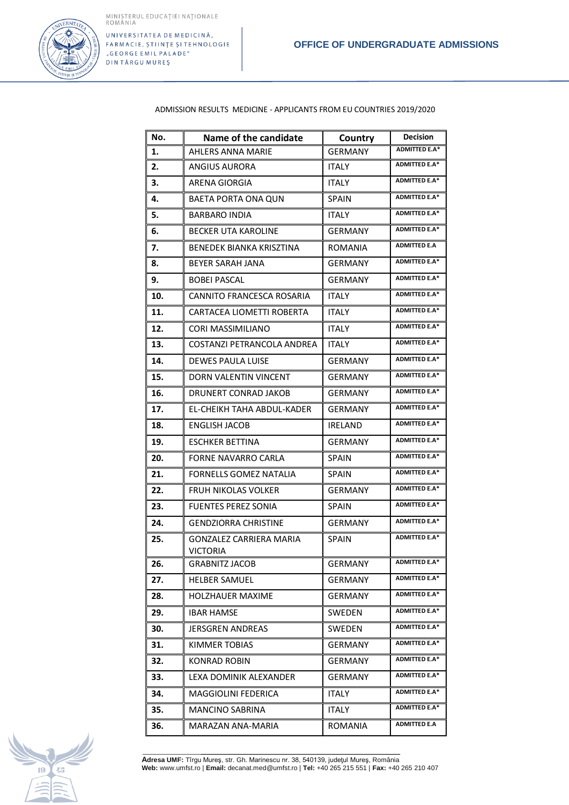

ADMISSION RESULTS MEDICINE - APPLICANTS FROM EU COUNTRIES 2019/2020

| No. | Name of the candidate                             | Country        | Decision             |
|-----|---------------------------------------------------|----------------|----------------------|
| 1.  | <b>AHLERS ANNA MARIE</b>                          | <b>GERMANY</b> | <b>ADMITTED E.A*</b> |
| 2.  | <b>ANGIUS AURORA</b>                              | <b>ITALY</b>   | <b>ADMITTED E.A*</b> |
| 3.  | ARENA GIORGIA                                     | <b>ITALY</b>   | <b>ADMITTED E.A*</b> |
| 4.  | BAETA PORTA ONA QUN                               | <b>SPAIN</b>   | <b>ADMITTED E.A*</b> |
| 5.  | <b>BARBARO INDIA</b>                              | <b>ITALY</b>   | <b>ADMITTED E.A*</b> |
| 6.  | <b>BECKER UTA KAROLINE</b>                        | <b>GERMANY</b> | <b>ADMITTED E.A*</b> |
| 7.  | BENEDEK BIANKA KRISZTINA                          | ROMANIA        | <b>ADMITTED E.A</b>  |
| 8.  | BEYER SARAH JANA                                  | GERMANY        | <b>ADMITTED E.A*</b> |
| 9.  | <b>BOBEI PASCAL</b>                               | <b>GERMANY</b> | <b>ADMITTED E.A*</b> |
| 10. | CANNITO FRANCESCA ROSARIA                         | <b>ITALY</b>   | <b>ADMITTED E.A*</b> |
| 11. | CARTACEA LIOMETTI ROBERTA                         | <b>ITALY</b>   | <b>ADMITTED E.A*</b> |
| 12. | <b>CORI MASSIMILIANO</b>                          | <b>ITALY</b>   | <b>ADMITTED E.A*</b> |
| 13. | COSTANZI PETRANCOLA ANDREA                        | ITALY          | <b>ADMITTED E.A*</b> |
| 14. | <b>DEWES PAULA LUISE</b>                          | <b>GERMANY</b> | <b>ADMITTED E.A*</b> |
| 15. | DORN VALENTIN VINCENT                             | <b>GERMANY</b> | <b>ADMITTED E.A*</b> |
| 16. | DRUNERT CONRAD JAKOB                              | <b>GERMANY</b> | <b>ADMITTED E.A*</b> |
| 17. | EL-CHEIKH TAHA ABDUL-KADER                        | <b>GERMANY</b> | <b>ADMITTED E.A*</b> |
| 18. | <b>ENGLISH JACOB</b>                              | <b>IRELAND</b> | <b>ADMITTED E.A*</b> |
| 19. | <b>ESCHKER BETTINA</b>                            | GERMANY        | <b>ADMITTED E.A*</b> |
| 20. | FORNE NAVARRO CARLA                               | <b>SPAIN</b>   | <b>ADMITTED E.A*</b> |
| 21. | <b>FORNELLS GOMEZ NATALIA</b>                     | <b>SPAIN</b>   | <b>ADMITTED E.A*</b> |
| 22. | FRUH NIKOLAS VOLKER                               | <b>GERMANY</b> | <b>ADMITTED E.A*</b> |
| 23. | <b>FUENTES PEREZ SONIA</b>                        | SPAIN          | <b>ADMITTED E.A*</b> |
| 24. | <b>GENDZIORRA CHRISTINE</b>                       | <b>GERMANY</b> | <b>ADMITTED E.A*</b> |
| 25. | <b>GONZALEZ CARRIERA MARIA</b><br><b>VICTORIA</b> | <b>SPAIN</b>   | <b>ADMITTED E.A*</b> |
| 26. | <b>GRABNITZ JACOB</b>                             | GERMANY        | <b>ADMITTED E.A*</b> |
| 27. | <b>HELBER SAMUEL</b>                              | GERMANY        | <b>ADMITTED E.A*</b> |
| 28. | <b>HOLZHAUER MAXIME</b>                           | GERMANY        | <b>ADMITTED E.A*</b> |
| 29. | <b>IBAR HAMSE</b>                                 | SWEDEN         | <b>ADMITTED E.A*</b> |
| 30. | JERSGREN ANDREAS                                  | SWEDEN         | <b>ADMITTED E.A*</b> |
| 31. | <b>KIMMER TOBIAS</b>                              | <b>GERMANY</b> | <b>ADMITTED E.A*</b> |
| 32. | <b>KONRAD ROBIN</b>                               | <b>GERMANY</b> | ADMITTED E.A*        |
| 33. | LEXA DOMINIK ALEXANDER                            | <b>GERMANY</b> | ADMITTED E.A*        |
| 34. | MAGGIOLINI FEDERICA                               | <b>ITALY</b>   | <b>ADMITTED E.A*</b> |
| 35. | <b>MANCINO SABRINA</b>                            | ITALY          | <b>ADMITTED E.A*</b> |
| 36. | MARAZAN ANA-MARIA                                 | ROMANIA        | <b>ADMITTED E.A</b>  |

R. Company

**Adresa UMF:** Tîrgu Mureş, str. Gh. Marinescu nr. 38, 540139, judeţul Mureş, România **Web:** www.umfst.ro | **Email:** decanat.med@umfst.ro | **Tel:** +40 265 215 551 | **Fax:** +40 265 210 407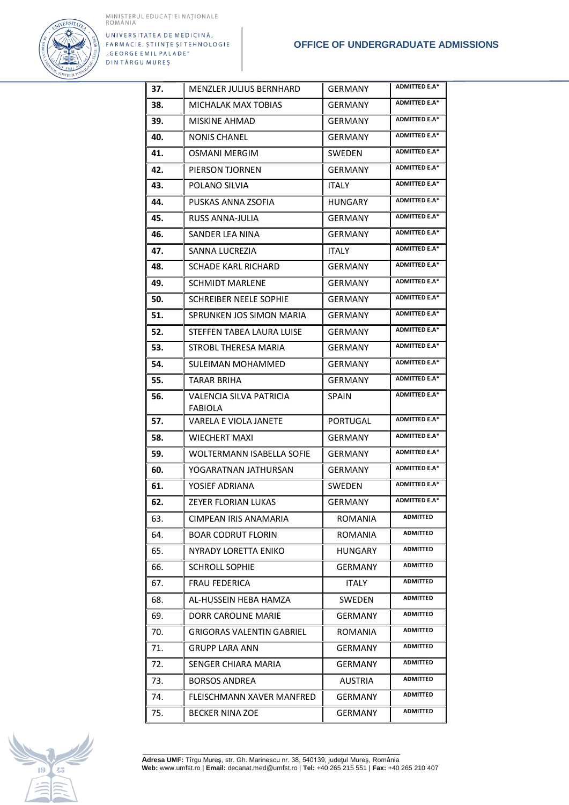

| 37. | <b>MENZLER JULIUS BERNHARD</b>                   | <b>GERMANY</b> | <b>ADMITTED E.A*</b> |
|-----|--------------------------------------------------|----------------|----------------------|
| 38. | MICHALAK MAX TOBIAS                              | <b>GERMANY</b> | <b>ADMITTED E.A*</b> |
| 39. | MISKINE AHMAD                                    | <b>GERMANY</b> | <b>ADMITTED E.A*</b> |
| 40. | NONIS CHANEL                                     | GERMANY        | <b>ADMITTED E.A*</b> |
| 41. | OSMANI MERGIM                                    | <b>SWEDEN</b>  | <b>ADMITTED E.A*</b> |
| 42. | PIERSON TJORNEN                                  | <b>GERMANY</b> | <b>ADMITTED E.A*</b> |
| 43. | POLANO SILVIA                                    | <b>ITALY</b>   | <b>ADMITTED E.A*</b> |
| 44. | PUSKAS ANNA ZSOFIA                               | <b>HUNGARY</b> | <b>ADMITTED E.A*</b> |
| 45. | <b>RUSS ANNA-JULIA</b>                           | <b>GERMANY</b> | <b>ADMITTED E.A*</b> |
| 46. | SANDER LEA NINA                                  | <b>GERMANY</b> | <b>ADMITTED E.A*</b> |
| 47. | SANNA LUCREZIA                                   | <b>ITALY</b>   | <b>ADMITTED E.A*</b> |
| 48. | SCHADE KARL RICHARD                              | <b>GERMANY</b> | <b>ADMITTED E.A*</b> |
| 49. | <b>SCHMIDT MARLENE</b>                           | <b>GERMANY</b> | <b>ADMITTED E.A*</b> |
| 50. | <b>SCHREIBER NEELE SOPHIE</b>                    | <b>GERMANY</b> | <b>ADMITTED E.A*</b> |
| 51. | SPRUNKEN JOS SIMON MARIA                         | <b>GERMANY</b> | <b>ADMITTED E.A*</b> |
| 52. | STEFFEN TABEA LAURA LUISE                        | <b>GERMANY</b> | <b>ADMITTED E.A*</b> |
| 53. | STROBL THERESA MARIA                             | <b>GERMANY</b> | <b>ADMITTED E.A*</b> |
| 54. | SULEIMAN MOHAMMED                                | <b>GERMANY</b> | <b>ADMITTED E.A*</b> |
| 55. | TARAR BRIHA                                      | <b>GERMANY</b> | <b>ADMITTED E.A*</b> |
| 56. | <b>VALENCIA SILVA PATRICIA</b><br><b>FABIOLA</b> | <b>SPAIN</b>   | <b>ADMITTED E.A*</b> |
| 57. | VARELA E VIOLA JANETE                            | PORTUGAL       | <b>ADMITTED E.A*</b> |
| 58. | <b>WIECHERT MAXI</b>                             | <b>GERMANY</b> | <b>ADMITTED E.A*</b> |
| 59. | <b>WOLTERMANN ISABELLA SOFIE</b>                 | <b>GERMANY</b> | <b>ADMITTED E.A*</b> |
| 60. | YOGARATNAN JATHURSAN                             | <b>GERMANY</b> | <b>ADMITTED E.A*</b> |
| 61. | YOSIEF ADRIANA                                   | <b>SWEDEN</b>  | <b>ADMITTED E.A*</b> |
| 62. | ZEYER FLORIAN LUKAS                              | <b>GERMANY</b> | <b>ADMITTED E.A*</b> |
| 63. | CIMPEAN IRIS ANAMARIA                            | <b>ROMANIA</b> | ADMITTED             |
| 64. | <b>BOAR CODRUT FLORIN</b>                        | <b>ROMANIA</b> | <b>ADMITTED</b>      |
| 65. | NYRADY LORETTA ENIKO                             | <b>HUNGARY</b> | ADMITTED             |
| 66. | <b>SCHROLL SOPHIE</b>                            | <b>GERMANY</b> | <b>ADMITTED</b>      |
| 67. | <b>FRAU FEDERICA</b>                             | <b>ITALY</b>   | <b>ADMITTED</b>      |
| 68. | AL-HUSSEIN HEBA HAMZA                            | SWEDEN         | <b>ADMITTED</b>      |
| 69. | DORR CAROLINE MARIE                              | GERMANY        | ADMITTED             |
| 70. | <b>GRIGORAS VALENTIN GABRIEL</b>                 | ROMANIA        | ADMITTED             |
| 71. | GRUPP LARA ANN                                   | GERMANY        | ADMITTED             |
| 72. | SENGER CHIARA MARIA                              | <b>GERMANY</b> | <b>ADMITTED</b>      |
| 73. | <b>BORSOS ANDREA</b>                             | <b>AUSTRIA</b> | ADMITTED             |
| 74. | FLEISCHMANN XAVER MANFRED                        | GERMANY        | <b>ADMITTED</b>      |
| 75. | <b>BECKER NINA ZOE</b>                           | GERMANY        | ADMITTED             |

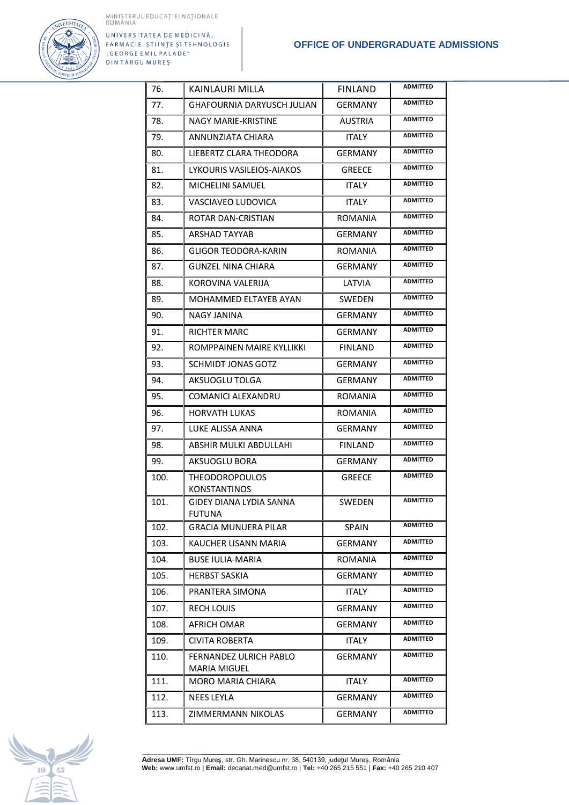

| 76.  | KAINLAURI MILLA                              | <b>FINLAND</b> | <b>ADMITTED</b> |
|------|----------------------------------------------|----------------|-----------------|
| 77.  | <b>GHAFOURNIA DARYUSCH JULIAN</b>            | <b>GERMANY</b> | <b>ADMITTED</b> |
| 78.  | NAGY MARIE-KRISTINE                          | AUSTRIA        | <b>ADMITTED</b> |
| 79.  | ANNUNZIATA CHIARA                            | <b>ITALY</b>   | <b>ADMITTED</b> |
| 80.  | LIEBERTZ CLARA THEODORA                      | <b>GERMANY</b> | <b>ADMITTED</b> |
| 81.  | LYKOURIS VASILEIOS-AIAKOS                    | <b>GREECE</b>  | <b>ADMITTED</b> |
| 82.  | <b>MICHELINI SAMUEL</b>                      | <b>ITALY</b>   | <b>ADMITTED</b> |
| 83.  | VASCIAVEO LUDOVICA                           | <b>ITALY</b>   | <b>ADMITTED</b> |
| 84.  | ROTAR DAN-CRISTIAN                           | <b>ROMANIA</b> | <b>ADMITTED</b> |
| 85.  | ARSHAD TAYYAB                                | <b>GERMANY</b> | <b>ADMITTED</b> |
| 86.  | GLIGOR TEODORA-KARIN                         | ROMANIA        | <b>ADMITTED</b> |
| 87.  | <b>GUNZEL NINA CHIARA</b>                    | <b>GERMANY</b> | <b>ADMITTED</b> |
| 88.  | KOROVINA VALERIJA                            | LATVIA         | <b>ADMITTED</b> |
| 89.  | MOHAMMED ELTAYEB AYAN                        | <b>SWEDEN</b>  | <b>ADMITTED</b> |
| 90.  | <b>NAGY JANINA</b>                           | <b>GERMANY</b> | <b>ADMITTED</b> |
| 91.  | RICHTER MARC                                 | <b>GERMANY</b> | <b>ADMITTED</b> |
| 92.  | ROMPPAINEN MAIRE KYLLIKKI                    | <b>FINLAND</b> | <b>ADMITTED</b> |
| 93.  | <b>SCHMIDT JONAS GOTZ</b>                    | <b>GERMANY</b> | <b>ADMITTED</b> |
| 94.  | AKSUOGLU TOLGA                               | <b>GERMANY</b> | <b>ADMITTED</b> |
| 95.  | COMANICI ALEXANDRU                           | ROMANIA        | <b>ADMITTED</b> |
| 96.  | <b>HORVATH LUKAS</b>                         | ROMANIA        | <b>ADMITTED</b> |
| 97.  | LUKE ALISSA ANNA                             | <b>GERMANY</b> | <b>ADMITTED</b> |
| 98.  | ABSHIR MULKI ABDULLAHI                       | <b>FINLAND</b> | <b>ADMITTED</b> |
| 99.  | AKSUOGLU BORA                                | <b>GERMANY</b> | <b>ADMITTED</b> |
| 100. | <b>THEODOROPOULOS</b><br><b>KONSTANTINOS</b> | <b>GREECE</b>  | <b>ADMITTED</b> |
| 101. | GIDEY DIANA LYDIA SANNA                      | <b>SWEDEN</b>  | <b>ADMITTED</b> |
|      | FUTUNA                                       |                |                 |
| 102. | GRACIA MUNUERA PILAR                         | <b>SPAIN</b>   | <b>ADMITTED</b> |
| 103. | KAUCHER LISANN MARIA                         | GERMANY        | <b>ADMITTED</b> |
| 104. | <b>BUSE IULIA-MARIA</b>                      | ROMANIA        | <b>ADMITTED</b> |
| 105. | <b>HERBST SASKIA</b>                         | <b>GERMANY</b> | ADMITTED        |
| 106. | PRANTERA SIMONA                              | ITALY          | <b>ADMITTED</b> |
| 107. | <b>RECH LOUIS</b>                            | <b>GERMANY</b> | <b>ADMITTED</b> |
| 108. | AFRICH OMAR                                  | <b>GERMANY</b> | ADMITTED        |
| 109. | CIVITA ROBERTA                               | <b>ITALY</b>   | ADMITTED        |
| 110. | FERNANDEZ ULRICH PABLO<br>MARIA MIGUEL       | GERMANY        | ADMITTED        |
| 111. | <b>MORO MARIA CHIARA</b>                     | <b>ITALY</b>   | <b>ADMITTED</b> |
| 112. | NEES LEYLA                                   | GERMANY        | <b>ADMITTED</b> |
| 113. | ZIMMERMANN NIKOLAS                           | <b>GERMANY</b> | <b>ADMITTED</b> |

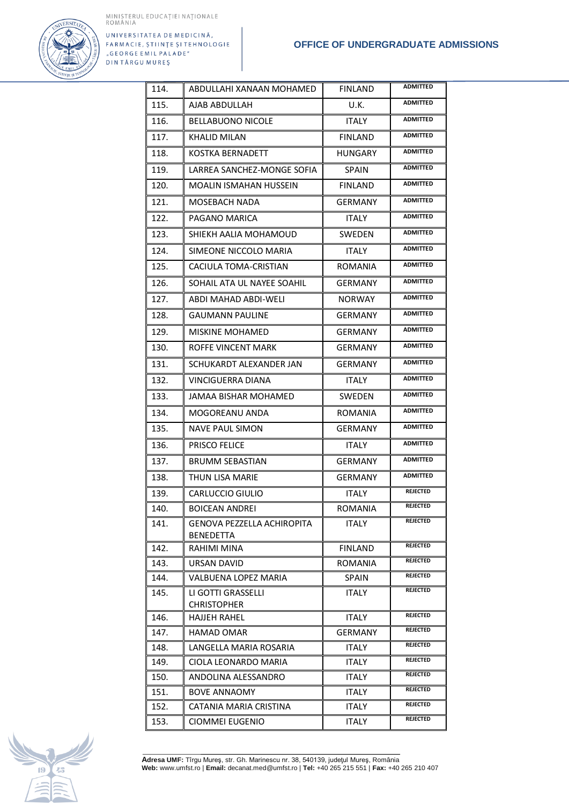

| 114.         | ABDULLAHI XANAAN MOHAMED                       | <b>FINLAND</b>          | <b>ADMITTED</b> |
|--------------|------------------------------------------------|-------------------------|-----------------|
| 115.         | AJAB ABDULLAH                                  | U.K.                    | <b>ADMITTED</b> |
| 116.         | <b>BELLABUONO NICOLE</b>                       | <b>ITALY</b>            | <b>ADMITTED</b> |
| 117.         | <b>KHALID MILAN</b>                            | <b>FINLAND</b>          | <b>ADMITTED</b> |
| 118.         | <b>KOSTKA BERNADETT</b>                        | <b>HUNGARY</b>          | <b>ADMITTED</b> |
| 119.         | LARREA SANCHEZ-MONGE SOFIA                     | <b>SPAIN</b>            | <b>ADMITTED</b> |
| 120.         | MOALIN ISMAHAN HUSSEIN                         | <b>FINLAND</b>          | <b>ADMITTED</b> |
| 121.         | MOSEBACH NADA                                  | <b>GERMANY</b>          | <b>ADMITTED</b> |
| 122.         | PAGANO MARICA                                  | <b>ITALY</b>            | <b>ADMITTED</b> |
| 123.         | SHIEKH AALIA MOHAMOUD                          | SWEDEN                  | <b>ADMITTED</b> |
| 124.         | SIMEONE NICCOLO MARIA                          | <b>ITALY</b>            | <b>ADMITTED</b> |
| 125.         | CACIULA TOMA-CRISTIAN                          | ROMANIA                 | <b>ADMITTED</b> |
| 126.         | SOHAIL ATA UL NAYEE SOAHIL                     | <b>GERMANY</b>          | <b>ADMITTED</b> |
| 127.         | ABDI MAHAD ABDI-WELI                           | <b>NORWAY</b>           | <b>ADMITTED</b> |
| 128.         | <b>GAUMANN PAULINE</b>                         | <b>GERMANY</b>          | <b>ADMITTED</b> |
| 129.         | <b>MISKINE MOHAMED</b>                         | <b>GERMANY</b>          | <b>ADMITTED</b> |
| 130.         | ROFFE VINCENT MARK                             | <b>GERMANY</b>          | <b>ADMITTED</b> |
| 131.         | SCHUKARDT ALEXANDER JAN                        | <b>GERMANY</b>          | <b>ADMITTED</b> |
| 132.         | <b>VINCIGUERRA DIANA</b>                       | <b>ITALY</b>            | <b>ADMITTED</b> |
| 133.         | <b>JAMAA BISHAR MOHAMED</b>                    | <b>SWEDEN</b>           | <b>ADMITTED</b> |
| 134.         | MOGOREANU ANDA                                 | <b>ROMANIA</b>          | <b>ADMITTED</b> |
| 135.         | <b>NAVE PAUL SIMON</b>                         | <b>GERMANY</b>          | <b>ADMITTED</b> |
| 136.         | <b>PRISCO FELICE</b>                           | <b>ITALY</b>            | <b>ADMITTED</b> |
| 137.         | <b>BRUMM SEBASTIAN</b>                         | <b>GERMANY</b>          | <b>ADMITTED</b> |
| 138.         | <b>THUN LISA MARIE</b>                         | <b>GERMANY</b>          | <b>ADMITTED</b> |
| 139.         | CARLUCCIO GIULIO                               | <b>ITALY</b>            | <b>REJECTED</b> |
| 140.         | <b>BOICEAN ANDREI</b>                          | ROMANIA                 | <b>REJECTED</b> |
| 141.         | GENOVA PEZZELLA ACHIROPITA<br><b>BENEDETTA</b> | <b>ITALY</b>            | <b>REJECTED</b> |
| 142.         | RAHIMI MINA                                    | <b>FINLAND</b>          | <b>REJECTED</b> |
| 143.         | <b>URSAN DAVID</b>                             | ROMANIA                 | <b>REJECTED</b> |
| 144.         | VALBUENA LOPEZ MARIA                           | <b>SPAIN</b>            | <b>REJECTED</b> |
| 145.         | LI GOTTI GRASSELLI                             | <b>ITALY</b>            | <b>REJECTED</b> |
|              | <b>CHRISTOPHER</b>                             |                         | <b>REJECTED</b> |
| 146.<br>147. | HAJJEH RAHEL<br><b>HAMAD OMAR</b>              | <b>ITALY</b><br>GERMANY | <b>REJECTED</b> |
| 148.         | LANGELLA MARIA ROSARIA                         | <b>ITALY</b>            | <b>REJECTED</b> |
| 149.         | CIOLA LEONARDO MARIA                           | ITALY                   | <b>REJECTED</b> |
| 150.         | ANDOLINA ALESSANDRO                            | <b>ITALY</b>            | <b>REJECTED</b> |
| 151.         | <b>BOVE ANNAOMY</b>                            | <b>ITALY</b>            | <b>REJECTED</b> |
| 152.         | CATANIA MARIA CRISTINA                         | <b>ITALY</b>            | <b>REJECTED</b> |
| 153.         | CIOMMEI EUGENIO                                | ITALY                   | <b>REJECTED</b> |
|              |                                                |                         |                 |

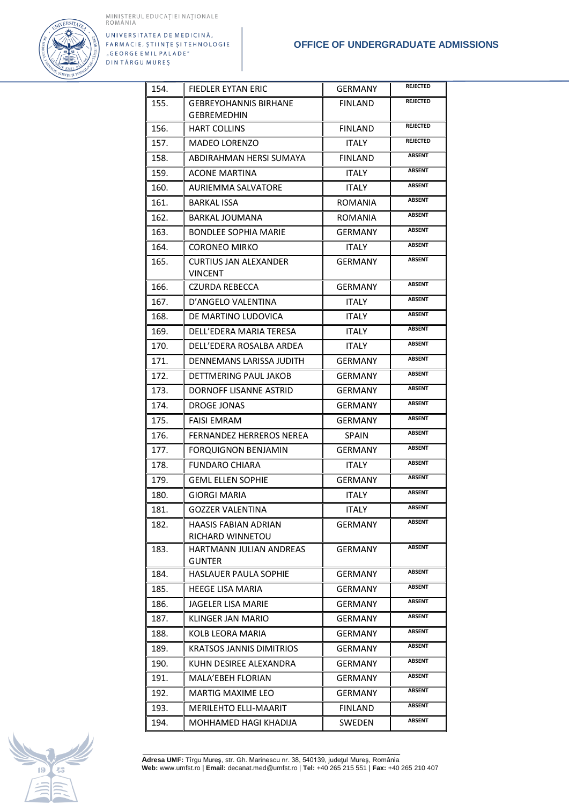

| 154. | <b>FIEDLER EYTAN ERIC</b>                          | <b>GERMANY</b> | <b>REJECTED</b> |
|------|----------------------------------------------------|----------------|-----------------|
| 155. | <b>GEBREYOHANNIS BIRHANE</b><br><b>GEBREMEDHIN</b> | <b>FINLAND</b> | <b>REJECTED</b> |
| 156. | <b>HART COLLINS</b>                                | <b>FINLAND</b> | <b>REJECTED</b> |
| 157. | <b>MADEO LORENZO</b>                               | <b>ITALY</b>   | <b>REJECTED</b> |
| 158. | ABDIRAHMAN HERSI SUMAYA                            | <b>FINLAND</b> | <b>ABSENT</b>   |
| 159. | ACONE MARTINA                                      | <b>ITALY</b>   | <b>ABSENT</b>   |
| 160. | AURIEMMA SALVATORE                                 | <b>ITALY</b>   | <b>ABSENT</b>   |
| 161. | <b>BARKAL ISSA</b>                                 | <b>ROMANIA</b> | <b>ABSENT</b>   |
| 162. | BARKAL JOUMANA                                     | ROMANIA        | <b>ABSENT</b>   |
| 163. | <b>BONDLEE SOPHIA MARIE</b>                        | <b>GERMANY</b> | <b>ABSENT</b>   |
| 164. | CORONEO MIRKO                                      | <b>ITALY</b>   | <b>ABSENT</b>   |
| 165. | <b>CURTIUS JAN ALEXANDER</b><br><b>VINCENT</b>     | <b>GERMANY</b> | <b>ABSENT</b>   |
| 166. | <b>CZURDA REBECCA</b>                              | <b>GERMANY</b> | <b>ABSENT</b>   |
| 167. | D'ANGELO VALENTINA                                 | <b>ITALY</b>   | <b>ABSENT</b>   |
| 168. | DE MARTINO LUDOVICA                                | <b>ITALY</b>   | <b>ABSENT</b>   |
| 169. | DELL'EDERA MARIA TERESA                            | <b>ITALY</b>   | <b>ABSENT</b>   |
| 170. | DELL'EDERA ROSALBA ARDEA                           | <b>ITALY</b>   | <b>ABSENT</b>   |
| 171. | DENNEMANS LARISSA JUDITH                           | GERMANY        | <b>ABSENT</b>   |
| 172. | DETTMERING PAUL JAKOB                              | <b>GERMANY</b> | <b>ABSENT</b>   |
| 173. | DORNOFF LISANNE ASTRID                             | GERMANY        | <b>ABSENT</b>   |
| 174. | DROGE JONAS                                        | GERMANY        | <b>ABSENT</b>   |
| 175. | <b>FAISI EMRAM</b>                                 | <b>GERMANY</b> | <b>ABSENT</b>   |
| 176. | FERNANDEZ HERREROS NEREA                           | <b>SPAIN</b>   | <b>ABSENT</b>   |
| 177. | <b>FORQUIGNON BENJAMIN</b>                         | <b>GERMANY</b> | <b>ABSENT</b>   |
| 178. | <b>FUNDARO CHIARA</b>                              | ITALY          | <b>ABSENT</b>   |
| 179. | <b>GEML ELLEN SOPHIE</b>                           | <b>GERMANY</b> | <b>ABSENT</b>   |
| 180. | <b>GIORGI MARIA</b>                                | <b>ITALY</b>   | <b>ABSENT</b>   |
| 181. | <b>GOZZER VALENTINA</b>                            | ITALY          | <b>ABSENT</b>   |
| 182. | HAASIS FABIAN ADRIAN<br>RICHARD WINNETOU           | GERMANY        | <b>ABSENT</b>   |
| 183. | HARTMANN JULIAN ANDREAS<br>GUNTER                  | <b>GERMANY</b> | <b>ABSENT</b>   |
| 184. | <b>HASLAUER PAULA SOPHIE</b>                       | GERMANY        | <b>ABSENT</b>   |
| 185. | HEEGE LISA MARIA                                   | GERMANY        | <b>ABSENT</b>   |
| 186. | JAGELER LISA MARIE                                 | GERMANY        | <b>ABSENT</b>   |
| 187. | KLINGER JAN MARIO                                  | GERMANY        | <b>ABSENT</b>   |
| 188. | KOLB LEORA MARIA                                   | GERMANY        | <b>ABSENT</b>   |
| 189. | KRATSOS JANNIS DIMITRIOS                           | GERMANY        | ABSENT          |
| 190. | KUHN DESIREE ALEXANDRA                             | GERMANY        | <b>ABSENT</b>   |
| 191. | <b>MALA'EBEH FLORIAN</b>                           | <b>GERMANY</b> | <b>ABSENT</b>   |
| 192. | MARTIG MAXIME LEO                                  | GERMANY        | <b>ABSENT</b>   |
| 193. | MERILEHTO ELLI-MAARIT                              | <b>FINLAND</b> | ABSENT          |
| 194. | MOHHAMED HAGI KHADIJA                              | SWEDEN         | <b>ABSENT</b>   |

R. Company